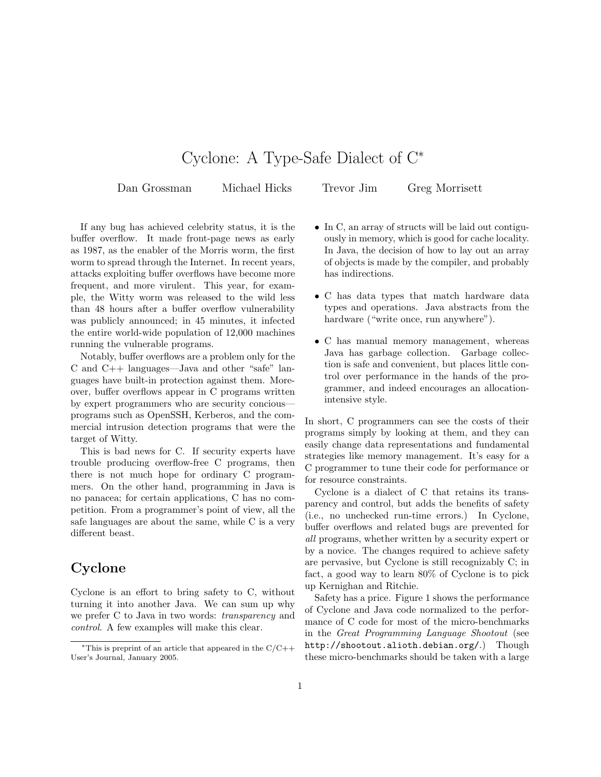# Cyclone: A Type-Safe Dialect of C<sup>∗</sup>

Dan Grossman Michael Hicks Trevor Jim Greg Morrisett

If any bug has achieved celebrity status, it is the buffer overflow. It made front-page news as early as 1987, as the enabler of the Morris worm, the first worm to spread through the Internet. In recent years, attacks exploiting buffer overflows have become more frequent, and more virulent. This year, for example, the Witty worm was released to the wild less than 48 hours after a buffer overflow vulnerability was publicly announced; in 45 minutes, it infected the entire world-wide population of 12,000 machines running the vulnerable programs.

Notably, buffer overflows are a problem only for the C and C++ languages—Java and other "safe" languages have built-in protection against them. Moreover, buffer overflows appear in C programs written by expert programmers who are security concious programs such as OpenSSH, Kerberos, and the commercial intrusion detection programs that were the target of Witty.

This is bad news for C. If security experts have trouble producing overflow-free C programs, then there is not much hope for ordinary C programmers. On the other hand, programming in Java is no panacea; for certain applications, C has no competition. From a programmer's point of view, all the safe languages are about the same, while C is a very different beast.

## Cyclone

Cyclone is an effort to bring safety to C, without turning it into another Java. We can sum up why we prefer C to Java in two words: transparency and control. A few examples will make this clear.

- In C, an array of structs will be laid out contiguously in memory, which is good for cache locality. In Java, the decision of how to lay out an array of objects is made by the compiler, and probably has indirections.
- C has data types that match hardware data types and operations. Java abstracts from the hardware ("write once, run anywhere").
- C has manual memory management, whereas Java has garbage collection. Garbage collection is safe and convenient, but places little control over performance in the hands of the programmer, and indeed encourages an allocationintensive style.

In short, C programmers can see the costs of their programs simply by looking at them, and they can easily change data representations and fundamental strategies like memory management. It's easy for a C programmer to tune their code for performance or for resource constraints.

Cyclone is a dialect of C that retains its transparency and control, but adds the benefits of safety (i.e., no unchecked run-time errors.) In Cyclone, buffer overflows and related bugs are prevented for all programs, whether written by a security expert or by a novice. The changes required to achieve safety are pervasive, but Cyclone is still recognizably C; in fact, a good way to learn 80% of Cyclone is to pick up Kernighan and Ritchie.

Safety has a price. Figure 1 shows the performance of Cyclone and Java code normalized to the performance of C code for most of the micro-benchmarks in the Great Programming Language Shootout (see http://shootout.alioth.debian.org/.) Though these micro-benchmarks should be taken with a large

<sup>\*</sup>This is preprint of an article that appeared in the  $C/C++$ User's Journal, January 2005.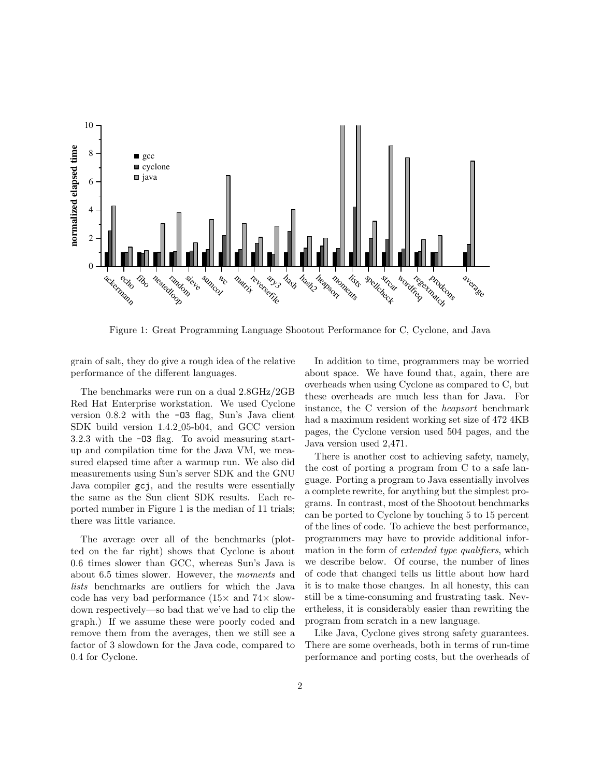

Figure 1: Great Programming Language Shootout Performance for C, Cyclone, and Java

grain of salt, they do give a rough idea of the relative performance of the different languages.

The benchmarks were run on a dual 2.8GHz/2GB Red Hat Enterprise workstation. We used Cyclone version 0.8.2 with the -O3 flag, Sun's Java client SDK build version 1.4.2 05-b04, and GCC version 3.2.3 with the -O3 flag. To avoid measuring startup and compilation time for the Java VM, we measured elapsed time after a warmup run. We also did measurements using Sun's server SDK and the GNU Java compiler gcj, and the results were essentially the same as the Sun client SDK results. Each reported number in Figure 1 is the median of 11 trials; there was little variance.

The average over all of the benchmarks (plotted on the far right) shows that Cyclone is about 0.6 times slower than GCC, whereas Sun's Java is about 6.5 times slower. However, the moments and lists benchmarks are outliers for which the Java code has very bad performance  $(15\times$  and  $74\times$  slowdown respectively—so bad that we've had to clip the graph.) If we assume these were poorly coded and remove them from the averages, then we still see a factor of 3 slowdown for the Java code, compared to 0.4 for Cyclone.

In addition to time, programmers may be worried about space. We have found that, again, there are overheads when using Cyclone as compared to C, but these overheads are much less than for Java. For instance, the C version of the heapsort benchmark had a maximum resident working set size of 472 4KB pages, the Cyclone version used 504 pages, and the Java version used 2,471.

There is another cost to achieving safety, namely, the cost of porting a program from C to a safe language. Porting a program to Java essentially involves a complete rewrite, for anything but the simplest programs. In contrast, most of the Shootout benchmarks can be ported to Cyclone by touching 5 to 15 percent of the lines of code. To achieve the best performance, programmers may have to provide additional information in the form of extended type qualifiers, which we describe below. Of course, the number of lines of code that changed tells us little about how hard it is to make those changes. In all honesty, this can still be a time-consuming and frustrating task. Nevertheless, it is considerably easier than rewriting the program from scratch in a new language.

Like Java, Cyclone gives strong safety guarantees. There are some overheads, both in terms of run-time performance and porting costs, but the overheads of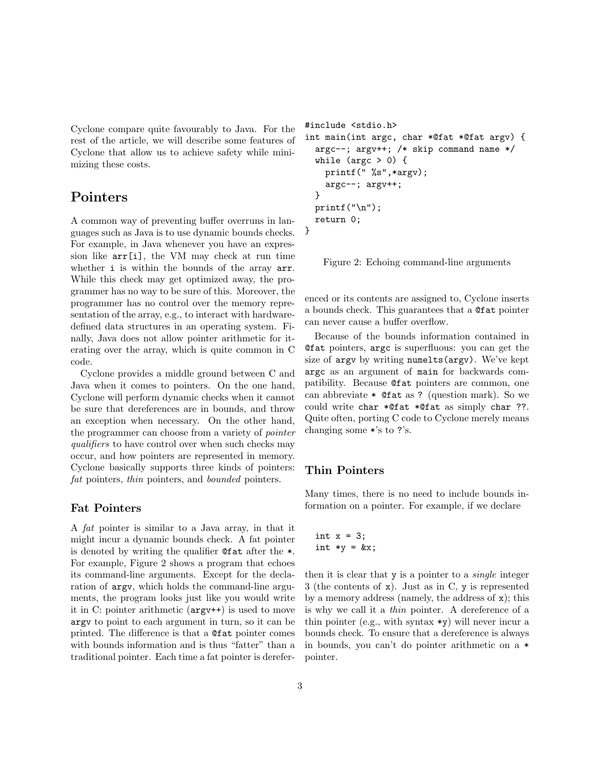Cyclone compare quite favourably to Java. For the rest of the article, we will describe some features of Cyclone that allow us to achieve safety while minimizing these costs.

## Pointers

A common way of preventing buffer overruns in languages such as Java is to use dynamic bounds checks. For example, in Java whenever you have an expression like arr[i], the VM may check at run time whether i is within the bounds of the array arr. While this check may get optimized away, the programmer has no way to be sure of this. Moreover, the programmer has no control over the memory representation of the array, e.g., to interact with hardwaredefined data structures in an operating system. Finally, Java does not allow pointer arithmetic for iterating over the array, which is quite common in C code.

Cyclone provides a middle ground between C and Java when it comes to pointers. On the one hand, Cyclone will perform dynamic checks when it cannot be sure that dereferences are in bounds, and throw an exception when necessary. On the other hand, the programmer can choose from a variety of pointer qualifiers to have control over when such checks may occur, and how pointers are represented in memory. Cyclone basically supports three kinds of pointers: fat pointers, thin pointers, and bounded pointers.

#### Fat Pointers

A fat pointer is similar to a Java array, in that it might incur a dynamic bounds check. A fat pointer is denoted by writing the qualifier @fat after the \*. For example, Figure 2 shows a program that echoes its command-line arguments. Except for the declaration of argv, which holds the command-line arguments, the program looks just like you would write it in C: pointer arithmetic (argv++) is used to move argv to point to each argument in turn, so it can be printed. The difference is that a @fat pointer comes with bounds information and is thus "fatter" than a traditional pointer. Each time a fat pointer is derefer-

```
#include <stdio.h>
int main(int argc, char *@fat *@fat argv) {
  argc--; argv++; /* skip command name */
  while (\arg c > 0) {
    printf(" %s",*argv);
    argc--; argv++;
  }
  print(f("n");
  return 0;
}
```
Figure 2: Echoing command-line arguments

enced or its contents are assigned to, Cyclone inserts a bounds check. This guarantees that a @fat pointer can never cause a buffer overflow.

Because of the bounds information contained in @fat pointers, argc is superfluous: you can get the size of argv by writing numelts(argv). We've kept argc as an argument of main for backwards compatibility. Because @fat pointers are common, one can abbreviate  $*$  Cent as ? (question mark). So we could write char \*@fat \*@fat as simply char ??. Quite often, porting C code to Cyclone merely means changing some \*'s to ?'s.

#### Thin Pointers

Many times, there is no need to include bounds information on a pointer. For example, if we declare

```
int x = 3;
int *y = kx;
```
then it is clear that  $y$  is a pointer to a *single* integer 3 (the contents of x). Just as in C, y is represented by a memory address (namely, the address of x); this is why we call it a thin pointer. A dereference of a thin pointer (e.g., with syntax  $*\mathbf{y}$ ) will never incur a bounds check. To ensure that a dereference is always in bounds, you can't do pointer arithmetic on a \* pointer.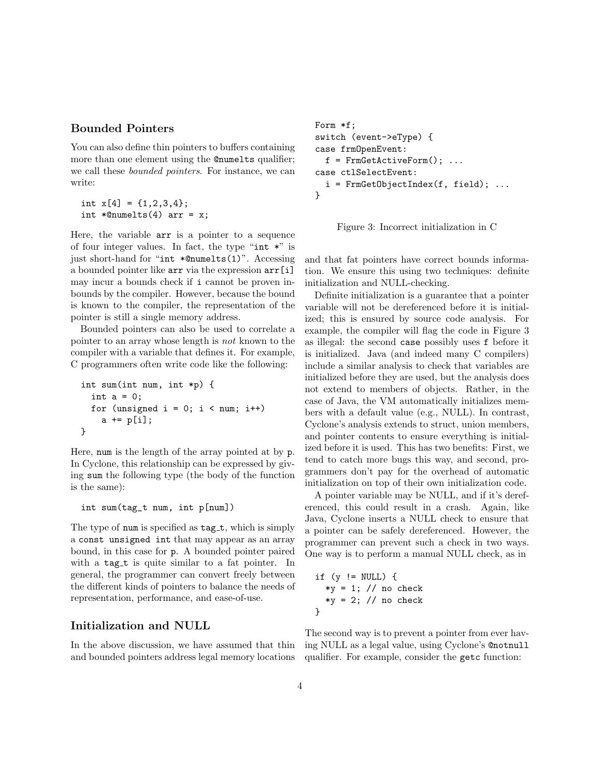#### Bounded Pointers

You can also define thin pointers to buffers containing more than one element using the **@numelts** qualifier; we call these bounded pointers. For instance, we can write:

```
int x[4] = \{1,2,3,4\};int *@numelts(4) arr = x;
```
Here, the variable arr is a pointer to a sequence of four integer values. In fact, the type "int \*" is just short-hand for "int \*@numelts(1)". Accessing a bounded pointer like arr via the expression arr[i] may incur a bounds check if i cannot be proven inbounds by the compiler. However, because the bound is known to the compiler, the representation of the pointer is still a single memory address.

Bounded pointers can also be used to correlate a pointer to an array whose length is not known to the compiler with a variable that defines it. For example, C programmers often write code like the following:

```
int sum(int num, int *p) {
 int a = 0;
 for (unsigned i = 0; i < num; i++)a += p[i];}
```
Here, num is the length of the array pointed at by p. In Cyclone, this relationship can be expressed by giving sum the following type (the body of the function is the same):

#### int sum(tag\_t num, int p[num])

The type of num is specified as  $tag_t$ , which is simply a const unsigned int that may appear as an array bound, in this case for p. A bounded pointer paired with a tag\_t is quite similar to a fat pointer. In general, the programmer can convert freely between the different kinds of pointers to balance the needs of representation, performance, and ease-of-use.

#### Initialization and NULL

In the above discussion, we have assumed that thin and bounded pointers address legal memory locations

```
Form *f;
switch (event->eType) {
case frmOpenEvent:
  f = FrmGetActiveForm(); ...
case ctlSelectEvent:
  i = FrmGetObjectIndex(f, field); ...
}
```
Figure 3: Incorrect initialization in C

and that fat pointers have correct bounds information. We ensure this using two techniques: definite initialization and NULL-checking.

Definite initialization is a guarantee that a pointer variable will not be dereferenced before it is initialized; this is ensured by source code analysis. For example, the compiler will flag the code in Figure 3 as illegal: the second case possibly uses f before it is initialized. Java (and indeed many C compilers) include a similar analysis to check that variables are initialized before they are used, but the analysis does not extend to members of objects. Rather, in the case of Java, the VM automatically initializes members with a default value (e.g., NULL). In contrast, Cyclone's analysis extends to struct, union members, and pointer contents to ensure everything is initialized before it is used. This has two benefits: First, we tend to catch more bugs this way, and second, programmers don't pay for the overhead of automatic initialization on top of their own initialization code.

A pointer variable may be NULL, and if it's dereferenced, this could result in a crash. Again, like Java, Cyclone inserts a NULL check to ensure that a pointer can be safely dereferenced. However, the programmer can prevent such a check in two ways. One way is to perform a manual NULL check, as in

```
if (y \mid = NULL) {
  *y = 1; // no check*y = 2; // no check}
```
The second way is to prevent a pointer from ever having NULL as a legal value, using Cyclone's @notnull qualifier. For example, consider the getc function: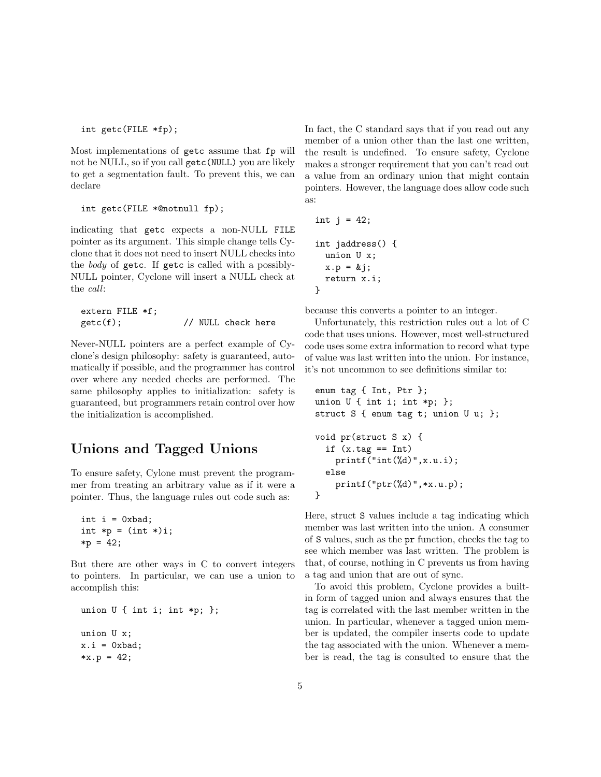int getc(FILE \*fp);

Most implementations of getc assume that fp will not be NULL, so if you call getc(NULL) you are likely to get a segmentation fault. To prevent this, we can declare

```
int getc(FILE *@notnull fp);
```
indicating that getc expects a non-NULL FILE pointer as its argument. This simple change tells Cyclone that it does not need to insert NULL checks into the body of getc. If getc is called with a possibly-NULL pointer, Cyclone will insert a NULL check at the call:

extern FILE \*f; getc(f);  $\frac{1}{2}$  // NULL check here

Never-NULL pointers are a perfect example of Cyclone's design philosophy: safety is guaranteed, automatically if possible, and the programmer has control over where any needed checks are performed. The same philosophy applies to initialization: safety is guaranteed, but programmers retain control over how the initialization is accomplished.

## Unions and Tagged Unions

To ensure safety, Cylone must prevent the programmer from treating an arbitrary value as if it were a pointer. Thus, the language rules out code such as:

```
int i = 0xbad;int *p = (int *) i;*p = 42;
```
But there are other ways in C to convert integers to pointers. In particular, we can use a union to accomplish this:

```
union U { int i; int *p; };
union U x;
x.i = 0xbad;*x.p = 42;
```
In fact, the C standard says that if you read out any member of a union other than the last one written, the result is undefined. To ensure safety, Cyclone makes a stronger requirement that you can't read out a value from an ordinary union that might contain pointers. However, the language does allow code such as:

int j = 42; int jaddress() { union U x; x.p = &j; return x.i; }

because this converts a pointer to an integer.

Unfortunately, this restriction rules out a lot of C code that uses unions. However, most well-structured code uses some extra information to record what type of value was last written into the union. For instance, it's not uncommon to see definitions similar to:

```
enum tag { Int, Ptr };
union U \{ int i; int *p; \};
struct S { enum tag t; union U u; };
void pr(struct S x) {
  if (x.\text{tag} == Int)print(f("int(\%d)", x.u.i);else
    printf("ptr(%d)",*x.u.p);
}
```
Here, struct S values include a tag indicating which member was last written into the union. A consumer of S values, such as the pr function, checks the tag to see which member was last written. The problem is that, of course, nothing in C prevents us from having a tag and union that are out of sync.

To avoid this problem, Cyclone provides a builtin form of tagged union and always ensures that the tag is correlated with the last member written in the union. In particular, whenever a tagged union member is updated, the compiler inserts code to update the tag associated with the union. Whenever a member is read, the tag is consulted to ensure that the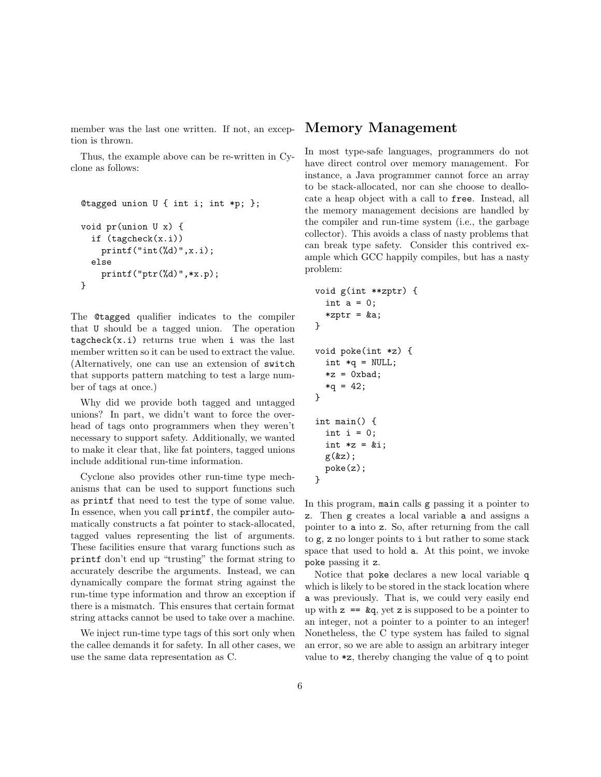member was the last one written. If not, an exception is thrown.

Thus, the example above can be re-written in Cyclone as follows:

```
@tagged union U { int i; int *p; };
void pr(union U x) {
  if (tagcheck(x.i))
    print(f("int(\%d)", x.i);else
    printf("ptr(%d)",*x.p);
}
```
The @tagged qualifier indicates to the compiler that U should be a tagged union. The operation  $tagcheck(x.i)$  returns true when i was the last member written so it can be used to extract the value. (Alternatively, one can use an extension of switch that supports pattern matching to test a large number of tags at once.)

Why did we provide both tagged and untagged unions? In part, we didn't want to force the overhead of tags onto programmers when they weren't necessary to support safety. Additionally, we wanted to make it clear that, like fat pointers, tagged unions include additional run-time information.

Cyclone also provides other run-time type mechanisms that can be used to support functions such as printf that need to test the type of some value. In essence, when you call printf, the compiler automatically constructs a fat pointer to stack-allocated, tagged values representing the list of arguments. These facilities ensure that vararg functions such as printf don't end up "trusting" the format string to accurately describe the arguments. Instead, we can dynamically compare the format string against the run-time type information and throw an exception if there is a mismatch. This ensures that certain format string attacks cannot be used to take over a machine.

We inject run-time type tags of this sort only when the callee demands it for safety. In all other cases, we use the same data representation as C.

#### Memory Management

In most type-safe languages, programmers do not have direct control over memory management. For instance, a Java programmer cannot force an array to be stack-allocated, nor can she choose to deallocate a heap object with a call to free. Instead, all the memory management decisions are handled by the compiler and run-time system (i.e., the garbage collector). This avoids a class of nasty problems that can break type safety. Consider this contrived example which GCC happily compiles, but has a nasty problem:

```
void g(int **zptr) {
  int a = 0;
  *zptr = ka;}
void poke(int *z) {
  int *q = NULL;*z = 0xbad;*q = 42;}
int main() {
  int i = 0;
  int *z = &i;g(kz);poke(z);
}
```
In this program, main calls g passing it a pointer to z. Then g creates a local variable a and assigns a pointer to a into z. So, after returning from the call to g, z no longer points to i but rather to some stack space that used to hold a. At this point, we invoke poke passing it z.

Notice that poke declares a new local variable q which is likely to be stored in the stack location where a was previously. That is, we could very easily end up with  $z = \log q$ , yet z is supposed to be a pointer to an integer, not a pointer to a pointer to an integer! Nonetheless, the C type system has failed to signal an error, so we are able to assign an arbitrary integer value to \*z, thereby changing the value of q to point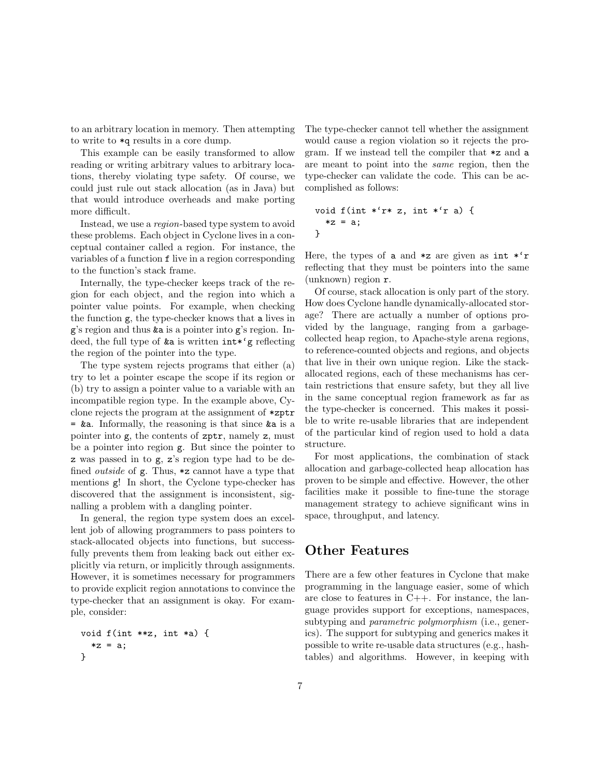to an arbitrary location in memory. Then attempting to write to \*q results in a core dump.

This example can be easily transformed to allow reading or writing arbitrary values to arbitrary locations, thereby violating type safety. Of course, we could just rule out stack allocation (as in Java) but that would introduce overheads and make porting more difficult.

Instead, we use a region-based type system to avoid these problems. Each object in Cyclone lives in a conceptual container called a region. For instance, the variables of a function f live in a region corresponding to the function's stack frame.

Internally, the type-checker keeps track of the region for each object, and the region into which a pointer value points. For example, when checking the function g, the type-checker knows that a lives in g's region and thus &a is a pointer into g's region. Indeed, the full type of &a is written int\*'g reflecting the region of the pointer into the type.

The type system rejects programs that either (a) try to let a pointer escape the scope if its region or (b) try to assign a pointer value to a variable with an incompatible region type. In the example above, Cyclone rejects the program at the assignment of \*zptr = &a. Informally, the reasoning is that since &a is a pointer into g, the contents of zptr, namely z, must be a pointer into region g. But since the pointer to z was passed in to g, z's region type had to be defined *outside* of  $g$ . Thus,  $\ast z$  cannot have a type that mentions g! In short, the Cyclone type-checker has discovered that the assignment is inconsistent, signalling a problem with a dangling pointer.

In general, the region type system does an excellent job of allowing programmers to pass pointers to stack-allocated objects into functions, but successfully prevents them from leaking back out either explicitly via return, or implicitly through assignments. However, it is sometimes necessary for programmers to provide explicit region annotations to convince the type-checker that an assignment is okay. For example, consider:

```
void f(int **z, int *a) {
  *z = a;}
```
The type-checker cannot tell whether the assignment would cause a region violation so it rejects the program. If we instead tell the compiler that \*z and a are meant to point into the same region, then the type-checker can validate the code. This can be accomplished as follows:

void f(int \*'r\* z, int \*'r a) { \*z = a; }

Here, the types of a and  $\ast z$  are given as int  $\ast'$ r reflecting that they must be pointers into the same (unknown) region r.

Of course, stack allocation is only part of the story. How does Cyclone handle dynamically-allocated storage? There are actually a number of options provided by the language, ranging from a garbagecollected heap region, to Apache-style arena regions, to reference-counted objects and regions, and objects that live in their own unique region. Like the stackallocated regions, each of these mechanisms has certain restrictions that ensure safety, but they all live in the same conceptual region framework as far as the type-checker is concerned. This makes it possible to write re-usable libraries that are independent of the particular kind of region used to hold a data structure.

For most applications, the combination of stack allocation and garbage-collected heap allocation has proven to be simple and effective. However, the other facilities make it possible to fine-tune the storage management strategy to achieve significant wins in space, throughput, and latency.

## Other Features

There are a few other features in Cyclone that make programming in the language easier, some of which are close to features in C++. For instance, the language provides support for exceptions, namespaces, subtyping and parametric polymorphism (i.e., generics). The support for subtyping and generics makes it possible to write re-usable data structures (e.g., hashtables) and algorithms. However, in keeping with